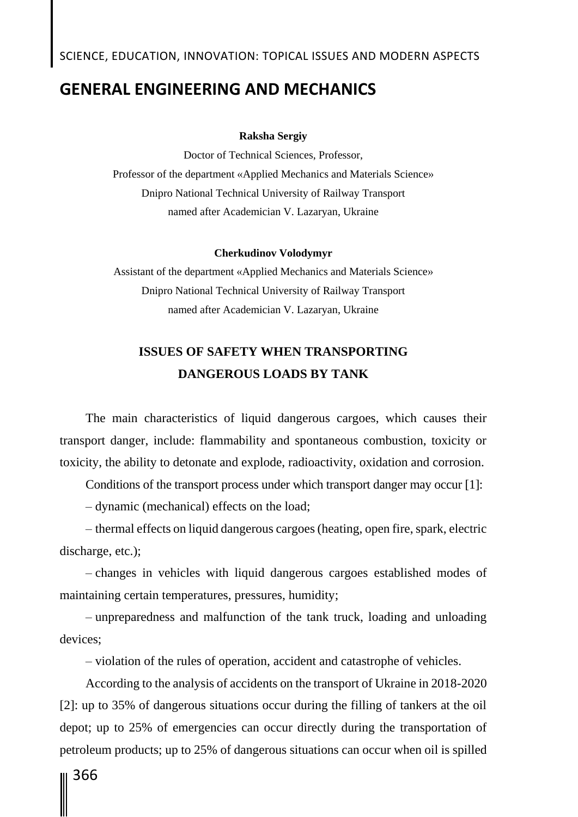## **GENERAL ENGINEERING AND MECHANICS**

### **Raksha Sergiy**

Doctor of Technical Sciences, Professor, Professor of the department «Applied Mechanics and Materials Science» Dnipro National Technical University of Railway Transport named after Academician V. Lazaryan, Ukraine

#### **Cherkudinov Volodymyr**

Assistant of the department «Applied Mechanics and Materials Science» Dnipro National Technical University of Railway Transport named after Academician V. Lazaryan, Ukraine

### **ISSUES OF SAFETY WHEN TRANSPORTING DANGEROUS LOADS BY TANK**

The main characteristics of liquid dangerous cargoes, which causes their transport danger, include: flammability and spontaneous combustion, toxicity or toxicity, the ability to detonate and explode, radioactivity, oxidation and corrosion.

Conditions of the transport process under which transport danger may occur [1]:

– dynamic (mechanical) effects on the load;

– thermal effects on liquid dangerous cargoes (heating, open fire, spark, electric discharge, etc.);

– changes in vehicles with liquid dangerous cargoes established modes of maintaining certain temperatures, pressures, humidity;

– unpreparedness and malfunction of the tank truck, loading and unloading devices;

– violation of the rules of operation, accident and catastrophe of vehicles.

According to the analysis of accidents on the transport of Ukraine in 2018-2020 [2]: up to 35% of dangerous situations occur during the filling of tankers at the oil depot; up to 25% of emergencies can occur directly during the transportation of petroleum products; up to 25% of dangerous situations can occur when oil is spilled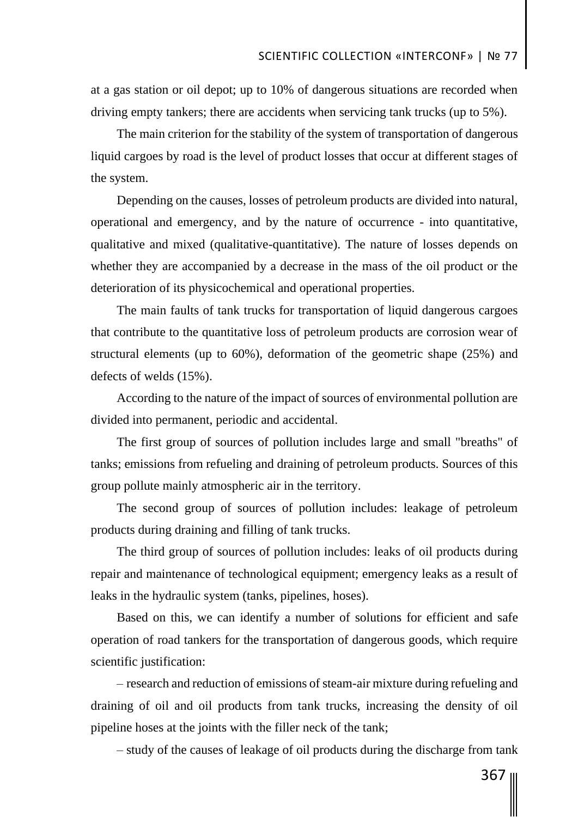at a gas station or oil depot; up to 10% of dangerous situations are recorded when driving empty tankers; there are accidents when servicing tank trucks (up to 5%).

The main criterion for the stability of the system of transportation of dangerous liquid cargoes by road is the level of product losses that occur at different stages of the system.

Depending on the causes, losses of petroleum products are divided into natural, operational and emergency, and by the nature of occurrence - into quantitative, qualitative and mixed (qualitative-quantitative). The nature of losses depends on whether they are accompanied by a decrease in the mass of the oil product or the deterioration of its physicochemical and operational properties.

The main faults of tank trucks for transportation of liquid dangerous cargoes that contribute to the quantitative loss of petroleum products are corrosion wear of structural elements (up to 60%), deformation of the geometric shape (25%) and defects of welds (15%).

According to the nature of the impact of sources of environmental pollution are divided into permanent, periodic and accidental.

The first group of sources of pollution includes large and small "breaths" of tanks; emissions from refueling and draining of petroleum products. Sources of this group pollute mainly atmospheric air in the territory.

The second group of sources of pollution includes: leakage of petroleum products during draining and filling of tank trucks.

The third group of sources of pollution includes: leaks of oil products during repair and maintenance of technological equipment; emergency leaks as a result of leaks in the hydraulic system (tanks, pipelines, hoses).

Based on this, we can identify a number of solutions for efficient and safe operation of road tankers for the transportation of dangerous goods, which require scientific justification:

– research and reduction of emissions of steam-air mixture during refueling and draining of oil and oil products from tank trucks, increasing the density of oil pipeline hoses at the joints with the filler neck of the tank;

– study of the causes of leakage of oil products during the discharge from tank